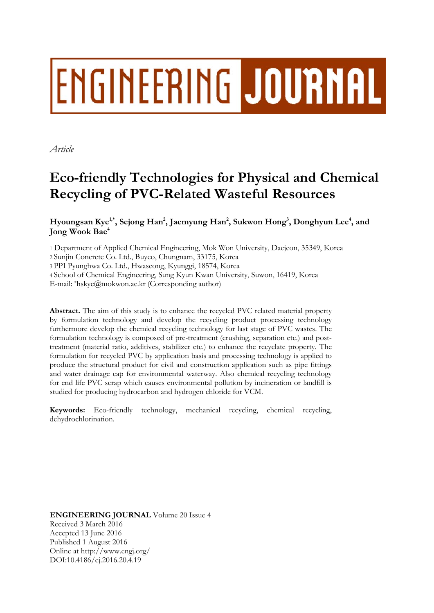# ENGINEERING JOURNAL

*Article* 

# **Eco-friendly Technologies for Physical and Chemical Recycling of PVC-Related Wasteful Resources**

Hyoungsan Kye<sup>1,\*</sup>, Sejong Han<sup>2</sup>, Jaemyung Han<sup>2</sup>, Sukwon Hong<sup>3</sup>, Donghyun Lee<sup>4</sup>, and **Jong Wook Bae4**

1 Department of Applied Chemical Engineering, Mok Won University, Daejeon, 35349, Korea

2 Sunjin Concrete Co. Ltd., Buyeo, Chungnam, 33175, Korea

3 PPI Pyunghwa Co. Ltd., Hwaseong, Kyunggi, 18574, Korea

4 School of Chemical Engineering, Sung Kyun Kwan University, Suwon, 16419, Korea

E-mail: \*hskye@mokwon.ac.kr (Corresponding author)

**Abstract.** The aim of this study is to enhance the recycled PVC related material property by formulation technology and develop the recycling product processing technology furthermore develop the chemical recycling technology for last stage of PVC wastes. The formulation technology is composed of pre-treatment (crushing, separation etc.) and posttreatment (material ratio, additives, stabilizer etc.) to enhance the recyclate property. The formulation for recycled PVC by application basis and processing technology is applied to produce the structural product for civil and construction application such as pipe fittings and water drainage cap for environmental waterway. Also chemical recycling technology for end life PVC scrap which causes environmental pollution by incineration or landfill is studied for producing hydrocarbon and hydrogen chloride for VCM.

**Keywords:** Eco-friendly technology, mechanical recycling, chemical recycling, dehydrochlorination.

**ENGINEERING JOURNAL** Volume 20 Issue 4 Received 3 March 2016 Accepted 13 June 2016 Published 1 August 2016 Online at http://www.engj.org/ DOI:10.4186/ej.2016.20.4.19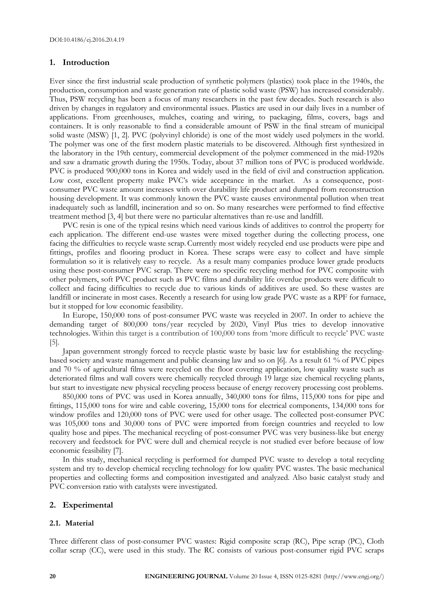## **1. Introduction**

Ever since the first industrial scale production of synthetic polymers (plastics) took place in the 1940s, the production, consumption and waste generation rate of plastic solid waste (PSW) has increased considerably. Thus, PSW recycling has been a focus of many researchers in the past few decades. Such research is also driven by changes in regulatory and environmental issues. Plastics are used in our daily lives in a number of applications. From greenhouses, mulches, coating and wiring, to packaging, films, covers, bags and containers. It is only reasonable to find a considerable amount of PSW in the final stream of municipal solid waste (MSW) [1, 2]. PVC (polyvinyl chloride) is one of the most widely used polymers in the world. The polymer was one of the first modern plastic materials to be discovered. Although first synthesized in the laboratory in the 19th century, commercial development of the polymer commenced in the mid-1920s and saw a dramatic growth during the 1950s. Today, about 37 million tons of PVC is produced worldwide. PVC is produced 900,000 tons in Korea and widely used in the field of civil and construction application. Low cost, excellent property make PVC's wide acceptance in the market. As a consequence, postconsumer PVC waste amount increases with over durability life product and dumped from reconstruction housing development. It was commonly known the PVC waste causes environmental pollution when treat inadequately such as landfill, incineration and so on. So many researches were performed to find effective treatment method [3, 4] but there were no particular alternatives than re-use and landfill.

PVC resin is one of the typical resins which need various kinds of additives to control the property for each application. The different end-use wastes were mixed together during the collecting process, one facing the difficulties to recycle waste scrap.Currently most widely recycled end use products were pipe and fittings, profiles and flooring product in Korea. These scraps were easy to collect and have simple formulation so it is relatively easy to recycle. As a result many companies produce lower grade products using these post-consumer PVC scrap. There were no specific recycling method for PVC composite with other polymers, soft PVC product such as PVC films and durability life overdue products were difficult to collect and facing difficulties to recycle due to various kinds of additives are used. So these wastes are landfill or incinerate in most cases. Recently a research for using low grade PVC waste as a RPF for furnace, but it stopped for low economic feasibility.

In Europe, 150,000 tons of post-consumer PVC waste was recycled in 2007. In order to achieve the demanding target of 800,000 tons/year recycled by 2020, Vinyl Plus tries to develop innovative technologies. Within this target is a contribution of 100,000 tons from 'more difficult to recycle' PVC waste  $[5]$ .

Japan government strongly forced to recycle plastic waste by basic law for establishing the recyclingbased society and waste management and public cleansing law and so on [6]. As a result 61 % of PVC pipes and 70 % of agricultural films were recycled on the floor covering application, low quality waste such as deteriorated films and wall covers were chemically recycled through 19 large size chemical recycling plants, but start to investigate new physical recycling process because of energy recovery processing cost problems.

850,000 tons of PVC was used in Korea annually, 340,000 tons for films, 115,000 tons for pipe and fittings, 115,000 tons for wire and cable covering, 15,000 tons for electrical components, 134,000 tons for window profiles and 120,000 tons of PVC were used for other usage. The collected post-consumer PVC was 105,000 tons and 30,000 tons of PVC were imported from foreign countries and recycled to low quality hose and pipes. The mechanical recycling of post-consumer PVC was very business-like but energy recovery and feedstock for PVC were dull and chemical recycle is not studied ever before because of low economic feasibility [7].

In this study, mechanical recycling is performed for dumped PVC waste to develop a total recycling system and try to develop chemical recycling technology for low quality PVC wastes. The basic mechanical properties and collecting forms and composition investigated and analyzed. Also basic catalyst study and PVC conversion ratio with catalysts were investigated.

# **2. Experimental**

#### **2.1. Material**

Three different class of post-consumer PVC wastes: Rigid composite scrap (RC), Pipe scrap (PC), Cloth collar scrap (CC), were used in this study. The RC consists of various post-consumer rigid PVC scraps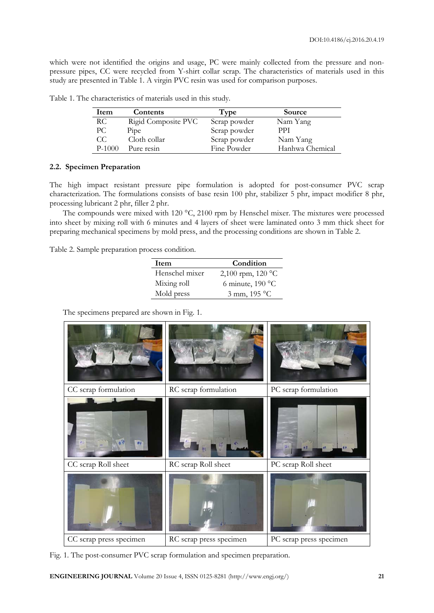which were not identified the origins and usage, PC were mainly collected from the pressure and nonpressure pipes, CC were recycled from Y-shirt collar scrap. The characteristics of materials used in this study are presented in Table 1. A virgin PVC resin was used for comparison purposes.

| Item     | Contents            | Type         | Source          |
|----------|---------------------|--------------|-----------------|
| RC.      | Rigid Composite PVC | Scrap powder | Nam Yang        |
| PС       | Pipe                | Scrap powder | <b>PPI</b>      |
| CC.      | Cloth collar        | Scrap powder | Nam Yang        |
| $P-1000$ | Pure resin          | Fine Powder  | Hanhwa Chemical |

Table 1. The characteristics of materials used in this study.

# **2.2. Specimen Preparation**

The high impact resistant pressure pipe formulation is adopted for post-consumer PVC scrap characterization. The formulations consists of base resin 100 phr, stabilizer 5 phr, impact modifier 8 phr, processing lubricant 2 phr, filler 2 phr.

The compounds were mixed with 120  $^{\circ}$ C, 2100 rpm by Henschel mixer. The mixtures were processed into sheet by mixing roll with 6 minutes and 4 layers of sheet were laminated onto 3 mm thick sheet for preparing mechanical specimens by mold press, and the processing conditions are shown in Table 2.

Table 2. Sample preparation process condition.

| Item           | Condition          |  |  |
|----------------|--------------------|--|--|
| Henschel mixer | 2,100 rpm, 120 °C  |  |  |
| Mixing roll    | 6 minute, $190 °C$ |  |  |
| Mold press     | 3 mm, 195 °C       |  |  |

The specimens prepared are shown in Fig. 1.

| CC scrap formulation    | RC scrap formulation    | PC scrap formulation    |
|-------------------------|-------------------------|-------------------------|
| ø                       |                         |                         |
| CC scrap Roll sheet     | RC scrap Roll sheet     | PC scrap Roll sheet     |
|                         |                         |                         |
| CC scrap press specimen | RC scrap press specimen | PC scrap press specimen |

Fig. 1. The post-consumer PVC scrap formulation and specimen preparation.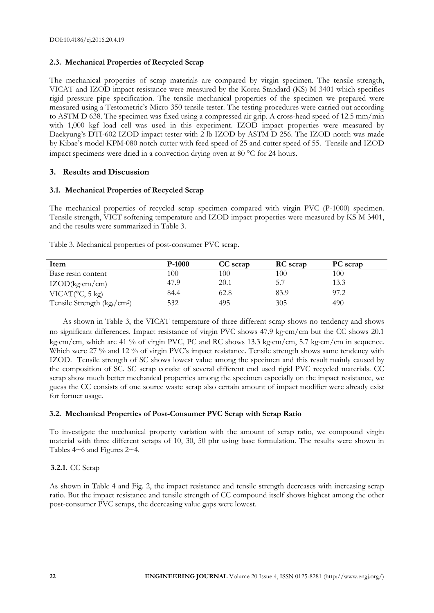# **2.3. Mechanical Properties of Recycled Scrap**

The mechanical properties of scrap materials are compared by virgin specimen. The tensile strength, VICAT and IZOD impact resistance were measured by the Korea Standard (KS) M 3401 which specifies rigid pressure pipe specification. The tensile mechanical properties of the specimen we prepared were measured using a Testometric's Micro 350 tensile tester. The testing procedures were carried out according to ASTM D 638. The specimen was fixed using a compressed air grip. A cross-head speed of 12.5 mm/min with 1,000 kgf load cell was used in this experiment. IZOD impact properties were measured by Daekyung's DTI-602 IZOD impact tester with 2 lb IZOD by ASTM D 256. The IZOD notch was made by Kibae's model KPM-080 notch cutter with feed speed of 25 and cutter speed of 55. Tensile and IZOD impact specimens were dried in a convection drying oven at 80 °C for 24 hours.

# **3. Results and Discussion**

# **3.1. Mechanical Properties of Recycled Scrap**

The mechanical properties of recycled scrap specimen compared with virgin PVC (P-1000) specimen. Tensile strength, VICT softening temperature and IZOD impact properties were measured by KS M 3401, and the results were summarized in Table 3.

| Item                                                 | $P-1000$ | CC scrap | <b>RC</b> scrap | <b>PC</b> scrap |
|------------------------------------------------------|----------|----------|-----------------|-----------------|
| Base resin content                                   | 100      | 100      | 100             | 100             |
| $IZOD(kg\cdot cm/cm)$                                | 47.9     | 20.1     | 5.7             | 13.3            |
| VICAT $(^{\circ}C, 5$ kg)                            | 84.4     | 62.8     | 83.9            | 97.2            |
| Tensile Strength (kg <sub>f</sub> /cm <sup>2</sup> ) | 532      | 495      | 305             | 490             |

Table 3. Mechanical properties of post-consumer PVC scrap.

As shown in Table 3, the VICAT temperature of three different scrap shows no tendency and shows no significant differences. Impact resistance of virgin PVC shows 47.9 kg·cm/cm but the CC shows 20.1 kg $\gamma$ cm/cm, which are 41 % of virgin PVC, PC and RC shows 13.3 kg $\gamma$ cm/cm, 5.7 kg $\gamma$ cm/cm in sequence. Which were 27 % and 12 % of virgin PVC's impact resistance. Tensile strength shows same tendency with IZOD. Tensile strength of SC shows lowest value among the specimen and this result mainly caused by the composition of SC. SC scrap consist of several different end used rigid PVC recycled materials. CC scrap show much better mechanical properties among the specimen especially on the impact resistance, we guess the CC consists of one source waste scrap also certain amount of impact modifier were already exist for former usage.

# **3.2. Mechanical Properties of Post-Consumer PVC Scrap with Scrap Ratio**

To investigate the mechanical property variation with the amount of scrap ratio, we compound virgin material with three different scraps of 10, 30, 50 phr using base formulation. The results were shown in Tables 4~6 and Figures 2~4.

# **3.2.1.** CC Scrap

As shown in Table 4 and Fig. 2, the impact resistance and tensile strength decreases with increasing scrap ratio. But the impact resistance and tensile strength of CC compound itself shows highest among the other post-consumer PVC scraps, the decreasing value gaps were lowest.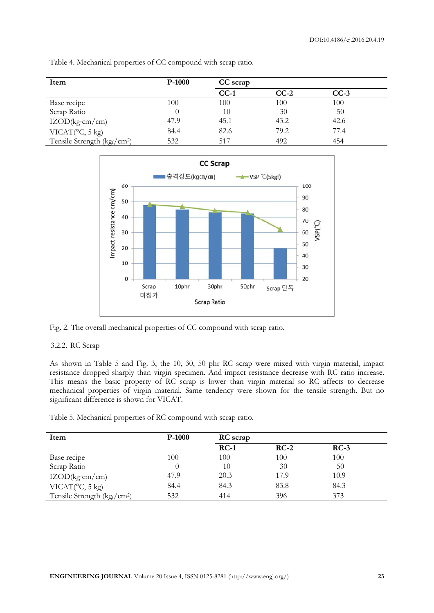| Item                                    | $P-1000$ | CC scrap |        |        |  |
|-----------------------------------------|----------|----------|--------|--------|--|
|                                         |          | $CC-1$   | $CC-2$ | $CC-3$ |  |
| Base recipe                             | 100      | 100      | 100    | 100    |  |
| Scrap Ratio                             | $\theta$ | 10       | 30     | 50     |  |
| $IZOD(kg\cdot cm/cm)$                   | 47.9     | 45.1     | 43.2   | 42.6   |  |
| VICAT(°C, 5 kg)                         | 84.4     | 82.6     | 79.2   | 77.4   |  |
| Tensile Strength (kgf/cm <sup>2</sup> ) | 532      | 517      | 492    | 454    |  |

Table 4. Mechanical properties of CC compound with scrap ratio.



Fig. 2. The overall mechanical properties of CC compound with scrap ratio.

# 3.2.2. RC Scrap

As shown in Table 5 and Fig. 3, the 10, 30, 50 phr RC scrap were mixed with virgin material, impact resistance dropped sharply than virgin specimen. And impact resistance decrease with RC ratio increase. This means the basic property of RC scrap is lower than virgin material so RC affects to decrease mechanical properties of virgin material. Same tendency were shown for the tensile strength. But no significant difference is shown for VICAT.

Table 5. Mechanical properties of RC compound with scrap ratio.

| Item                                    | $P-1000$ | <b>RC</b> scrap |        |        |  |
|-----------------------------------------|----------|-----------------|--------|--------|--|
|                                         |          | $RC-1$          | $RC-2$ | $RC-3$ |  |
| Base recipe                             | 100      | 100             | 100    | 100    |  |
| Scrap Ratio                             | $\theta$ | 10              | 30     | 50     |  |
| $IZOD(kg\cdot cm/cm)$                   | 47.9     | 20.3            | 17.9   | 10.9   |  |
| VICAT $(^\circ \text{C}, 5 \text{ kg})$ | 84.4     | 84.3            | 83.8   | 84.3   |  |
| Tensile Strength (kgf/cm <sup>2</sup> ) | 532      | 414             | 396    | 373    |  |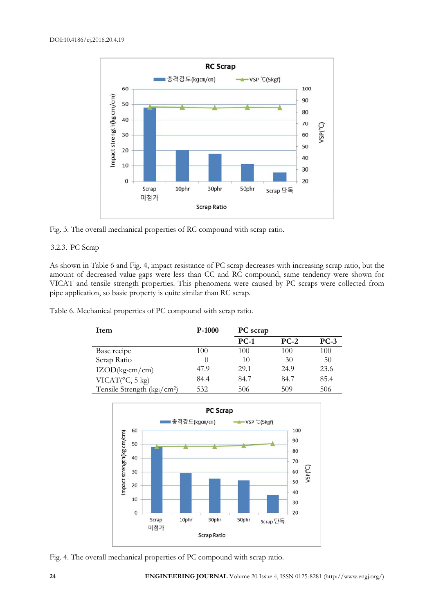

Fig. 3. The overall mechanical properties of RC compound with scrap ratio.

# 3.2.3. PC Scrap

As shown in Table 6 and Fig. 4, impact resistance of PC scrap decreases with increasing scrap ratio, but the amount of decreased value gaps were less than CC and RC compound, same tendency were shown for VICAT and tensile strength properties. This phenomena were caused by PC scraps were collected from pipe application, so basic property is quite similar than RC scrap.

Table 6. Mechanical properties of PC compound with scrap ratio.

| Item                                    | $P-1000$ | PC scrap |        |        |
|-----------------------------------------|----------|----------|--------|--------|
|                                         |          | $PC-1$   | $PC-2$ | $PC-3$ |
| Base recipe                             | 100      | 100      | 100    | 100    |
| Scrap Ratio                             | $\theta$ | 10       | 30     | 50     |
| IZOD(kg·cm/cm)                          | 47.9     | 29.1     | 24.9   | 23.6   |
| VICAT(°C, 5 kg)                         | 84.4     | 84.7     | 84.7   | 85.4   |
| Tensile Strength (kgf/cm <sup>2</sup> ) | 532      | 506      | 509    | 506    |



Fig. 4. The overall mechanical properties of PC compound with scrap ratio.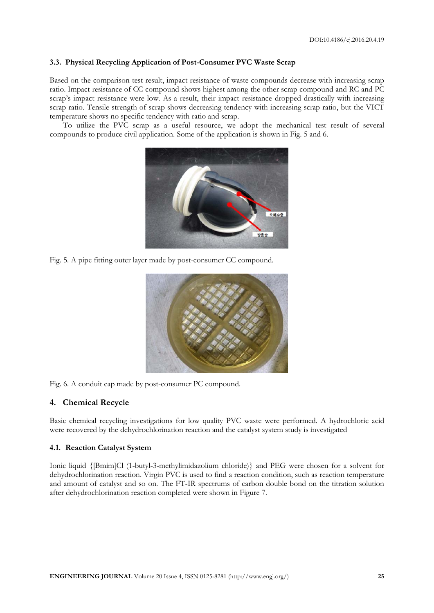# **3.3. Physical Recycling Application of Post-Consumer PVC Waste Scrap**

Based on the comparison test result, impact resistance of waste compounds decrease with increasing scrap ratio. Impact resistance of CC compound shows highest among the other scrap compound and RC and PC scrap's impact resistance were low. As a result, their impact resistance dropped drastically with increasing scrap ratio. Tensile strength of scrap shows decreasing tendency with increasing scrap ratio, but the VICT temperature shows no specific tendency with ratio and scrap.

To utilize the PVC scrap as a useful resource, we adopt the mechanical test result of several compounds to produce civil application. Some of the application is shown in Fig. 5 and 6.



Fig. 5. A pipe fitting outer layer made by post-consumer CC compound.



Fig. 6. A conduit cap made by post-consumer PC compound.

#### **4. Chemical Recycle**

Basic chemical recycling investigations for low quality PVC waste were performed. A hydrochloric acid were recovered by the dehydrochlorination reaction and the catalyst system study is investigated

#### **4.1. Reaction Catalyst System**

Ionic liquid {[Bmim]Cl (1-butyl-3-methylimidazolium chloride)} and PEG were chosen for a solvent for dehydrochlorination reaction. Virgin PVC is used to find a reaction condition, such as reaction temperature and amount of catalyst and so on. The FT-IR spectrums of carbon double bond on the titration solution after dehydrochlorination reaction completed were shown in Figure 7.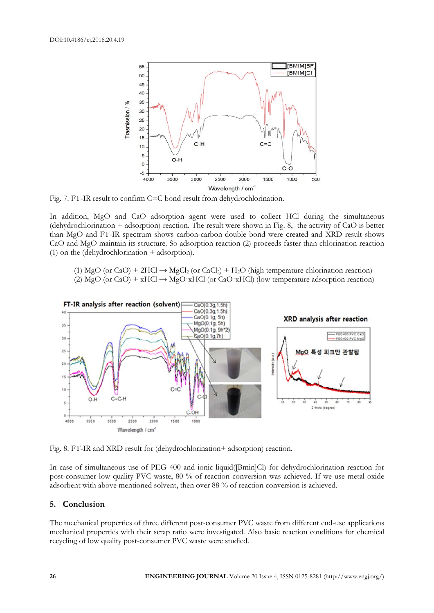

Fig. 7. FT-IR result to confirm C=C bond result from dehydrochlorination.

In addition, MgO and CaO adsorption agent were used to collect HCl during the simultaneous (dehydrochlorination + adsorption) reaction. The result were shown in Fig. 8, the activity of CaO is better than MgO and FT-IR spectrum shows carbon-carbon double bond were created and XRD result shows CaO and MgO maintain its structure. So adsorption reaction (2) proceeds faster than chlorination reaction (1) on the (dehydrochlorination + adsorption).

(1) MgO (or CaO) + 2HCl  $\rightarrow$  MgCl<sub>2</sub> (or CaCl<sub>2</sub>) + H<sub>2</sub>O (high temperature chlorination reaction) (2) MgO (or CaO) + xHCl  $\rightarrow$  MgO·xHCl (or CaO·xHCl) (low temperature adsorption reaction)



Fig. 8. FT-IR and XRD result for (dehydrochlorination+ adsorption) reaction.

In case of simultaneous use of PEG 400 and ionic liquid([Bmin]Cl) for dehydrochlorination reaction for post-consumer low quality PVC waste, 80 % of reaction conversion was achieved. If we use metal oxide adsorbent with above mentioned solvent, then over 88 % of reaction conversion is achieved.

# **5. Conclusion**

The mechanical properties of three different post-consumer PVC waste from different end-use applications mechanical properties with their scrap ratio were investigated. Also basic reaction conditions for chemical recycling of low quality post-consumer PVC waste were studied.